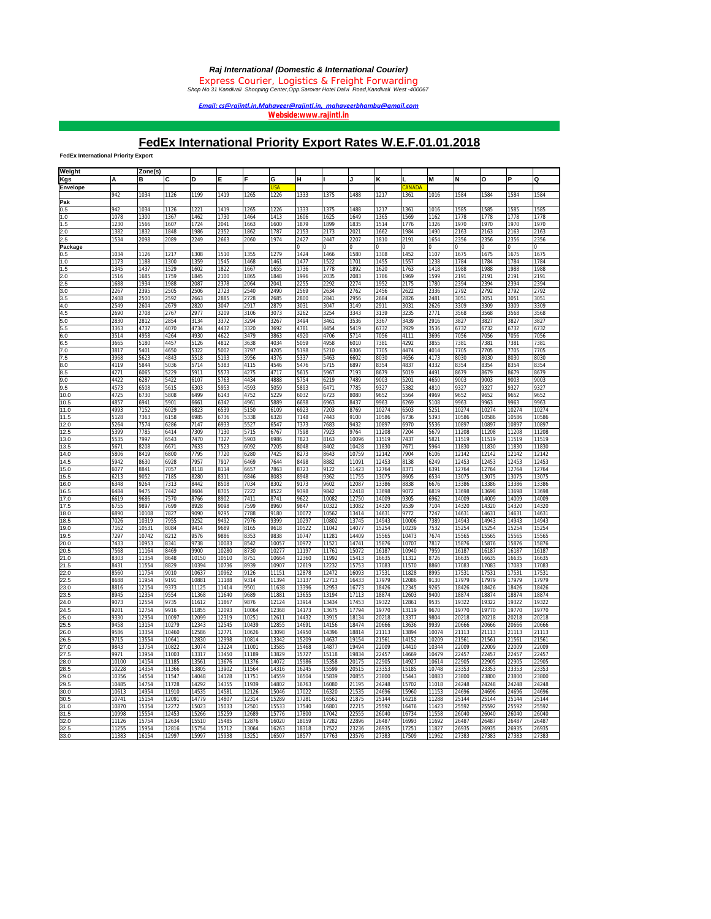*Email: cs@rajintl.in,Mahaveer@rajintl.in, mahaveerbhambu@gmail.com* 

*Webside[:www.rajintl.in](http://www.rajintl.in)*

## **FedEx International Priority Export Rates W.E.F.01.01.2018**

**FedEx International Priority Export**

| Weight       |       | Zone(s)      |              |                |       |              |               |                |                  |              |                |                |              |               |                |                |              |
|--------------|-------|--------------|--------------|----------------|-------|--------------|---------------|----------------|------------------|--------------|----------------|----------------|--------------|---------------|----------------|----------------|--------------|
| Kgs          | А     | в            | c            | D              | Е     |              | G             | н              |                  |              | κ              |                | M            | N             | O              |                | Q            |
| Envelope     |       |              |              |                |       |              |               |                |                  |              |                | <b>ANADA</b>   |              |               |                |                |              |
|              | 942   | 1034         | 1126         | 1199           | 1419  | 1265         | 1226          | 1333           | 1375             | 1488         | 1217           | 1361           | 1016         | 1584          | 1584           | 1584           | 1584         |
|              |       |              |              |                |       |              |               |                |                  |              |                |                |              |               |                |                |              |
| Pak          | 942   | 1034         |              | 1221           | 1419  |              |               |                |                  |              |                |                |              |               |                |                |              |
| 0.5<br>1.0   | 1078  | 1300         | 1126<br>1367 | 1462           | 1730  | 1265<br>1464 | 1226<br>1413  | 1333<br>1606   | 1375<br>1625     | 1488<br>1649 | 1217<br>1365   | 1361<br>1569   | 1016<br>1162 | 1585<br>1778  | 1585<br>1778   | 1585<br>1778   | 1585<br>1778 |
|              | 1230  |              | 1607         | 1724           | 2041  |              |               | 1879           | 1899             | 1835         |                | 1776           | 1326         | 1970          | 1970           | 1970           | 1970         |
| 1.5<br>2.0   | 1382  | 1566<br>1832 | 1848         | 1986           | 2352  | 1663<br>1862 | 1600<br>1787  | 2153           | 2173             | 2021         | 1514<br>1662   | 1984           | 1490         | 2163          | 2163           | 2163           | 2163         |
|              |       |              |              |                |       |              |               |                |                  |              |                |                |              |               |                |                |              |
| 2.5          | 1534  | 2098         | 2089         | 2249           | 2663  | 2060         | 1974          | 2427           | 2447<br>$\Omega$ | 2207         | 1810           | 2191           | 1654         | 2356<br>Ō     | 2356           | 2356           | 2356         |
| Package      |       |              |              |                |       |              |               |                |                  |              |                |                |              |               |                |                |              |
| 0.5          | 1034  | 1126<br>1188 | 1217         | 1308<br>1359   | 1510  | 1355         | 1279          | 1424<br>1477   | 1466             | 1580         | 1308           | 1452           | 1107         | 1675          | 1675           | 1675           | 1675<br>1784 |
| 1.0          | 1173  |              | 1300         |                | 1545  | 1468         | 1461          |                | 1522             | 1701         | 1455           | 1557           | 1238         | 1784          | 1784           | 1784           |              |
| 1.5          | 1345  | 1437         | 1529<br>1759 | 1602           | 1822  | 1667         | 1655          | 1736           | 1778             | 1892         | 1620<br>1786   | 1763           | 1418<br>1599 | 1988          | 1988<br>2191   | 1988           | 1988<br>2191 |
| 2.0          | 1516  | 1685         |              | 1845           | 2100  | 1865         | 1848          | 1996           | 2035             | 2083         |                | 1969           |              | 2191          |                | 2191           |              |
| 2.5          | 1688  | 1934         | 1988         | 2087           | 2378  | 2064         | 2041          | 2255           | 2292             | 2274         | 1952           | 2175           | 1780         | 2394          | 2394           | 2394           | 2394         |
| 3.0          | 2267  | 2395         | 2505         | 2506           | 2723  | 2540         | 2490          | 2569           | 2634             | 2762         | 2456           | 2622           | 2336         | 2792          | 2792           | 2792           | 2792         |
| 3.5          | 2408  | 2500         | 2592         | 2663           | 2885  | 2728         | 2685          | 2800           | 2841             | 2956         | 2684           | 2826           | 2481         | 3051          | 3051           | 3051           | 3051         |
| 4.0          | 2549  | 2604         | 2679         | 2820           | 3047  | 2917         | 2879          | 3031           | 3047             | 3149         | 2911           | 3031           | 2626         | 3309          | 3309           | 3309           | 3309         |
| 4.5          | 2690  | 2708         | 2767         | 2977           | 3209  | 3106         | 3073          | 3262           | 3254             | 3343         | 3139           | 3235           | 2771         | 3568          | 3568           | 3568           | 3568         |
| 5.0          | 2830  | 2812         | 2854         | 3134           | 3372  | 3294         | 3267          | 3494           | 3461             | 3536         | 3367           | 3439           | 2916         | 3827          | 3827           | 3827           | 3827         |
| 5.5          | 3363  | 4737         | 4070         | 4734           | 4432  | 3320         | 3692          | 4781           | 4454             | 5419         | 6732           | 3929           | 3536         | 6732          | 6732           | 6732           | 6732         |
| 6.0          | 3514  | 4958         | 4264         | 4930           | 4622  | 3479         | 3863          | 4920           | 4706             | 5714         | 7056           | 4111           | 3696         | 7056          | 7056           | 7056           | 7056         |
| 6.5          | 3665  | 5180         | 4457         | 5126           | 4812  | 3638         | 4034          | 5059           | 4958             | 6010         | 7381           | 4292           | 3855         | 7381          | 7381           | 7381           | 7381         |
| 7.0          | 3817  | 5401         | 4650         | 5322           | 5002  | 3797         | 4205          | 5198           | 5210             | 6306         | 7705           | 4474           | 4014         | 7705          | 7705           | 7705           | 7705         |
| 7.5          | 3968  | 5623         | 4843         | 5518           | 5193  | 3956         | 4376          | 5337           | 5463             | 6602         | 8030           | 4656           | 4173         | 8030          | 8030           | 8030           | 8030         |
| 8.0          | 4119  | 5844         | 5036         | 5714           | 5383  | 4115         | 4546          | 5476           | 5715             | 6897         | 8354           | 4837           | 4332         | 8354          | 8354           | 8354           | <b>B354</b>  |
| 8.5          | 4271  | 6065         | 5229         | 5911           | 5573  | 4275         | 4717          | 5615           | 5967             | 7193         | 8679           | 5019           | 4491         | 8679          | 8679           | 8679           | 8679         |
| 9.0          | 4422  | 6287         | 5422         | 6107           | 5763  | 4434         | 4888          | 5754           | 6219             | 7489         | 9003           | 5201           | 4650         | 9003          | 9003           | 9003           | 9003         |
| 9.5          | 4573  | 6508         | 5615         | 6303           | 5953  | 4593         | 5059          | 5893           | 6471             | 7785         | 9327           | 5382           | 4810         | 9327          | 9327           | 9327           | 9327         |
| 10.0         | 4725  | 6730         | 5808         | 6499           | 6143  | 4752         | 5229          | 6032           | 6723             | 8080         | 9652           | 5564           | 4969         | 9652          | 9652           | 9652           | 9652         |
| 10.5         | 4857  | 6941         | 5901         | 6661           | 6342  | 4961         | 5889          | 6698           | 6963             | 8437         | 9963           | 6269           | 5108         | 9963          | 9963           | 9963           | 9963         |
| 11.0         | 1993  | 7152         | 5029         | 6823           | 6539  | 5150         | 5109          | 6923           | 7203             | 8769         | 10274          | 5503           | 5251         | 10274         | 10274          | 10274          | 10274        |
| 11.5         | 128   | 7363         | \$158        | 985            | 6736  | 5338         | 5328          | 7148           | 7443             | 9100         | 10586          | 5736           | 5393         | 10586         | 10586          | 10586          | 10586        |
| 12.0         | 5264  | 7574         | 5286         | 7147           | 6933  | 5527         | 6547          | 7373           | 7683             | 9432         | 10897          | 5970           | 5536         | 10897         | 10897          | 10897          | 10897        |
| 12.5         | 5399  | 7785         | 6414         | 7309           | 7130  | 5715         | 6767          | 7598           | 7923             | 9764         | 11208          | 7204           | 5679         | 11208         | 11208          | 11208          | 11208        |
| 13.0         | 5535  | 7997         | 6543         | 7470           | 7327  | 5903         | 6986          | 7823           | 8163             | 10096        | 11519          | 7437           | 5821         | 11519         | 11519          | 11519          | 11519        |
| 13.5         | 5671  | <b>B208</b>  | 6671         | 7633           | 7523  | 6092         | 7205          | 8048           | 8402             | 10428        | 11830          | 7671           | 5964         | 11830         | 11830          | 11830          | 11830        |
| 14.0         | 5806  | 8419         | 6800         | 7795           | 7720  | 6280         | 7425          | 8273           | 8643             | 10759        | 12142          | 7904           | 6106         | 12142         | 12142          | 12142          | 12142        |
| 14.5         | 5942  | 8630         | 6928         | 7957           | 7917  | 6469         | 7644          | 8498           | 8882             | 11091        | 12453          | 8138           | 6249         | 12453         | 12453          | 12453          | 12453        |
| 15.0         | 6077  | 8841         | 7057         | 8118           | 8114  | 6657         | 7863          | 8723           | 9122             | 11423        | 12764          | 8371           | 6391         | 12764         | 12764          | 12764          | 12764        |
| 15.5         | 6213  | 9052         | 7185         | 8280           | 8311  | 6846         | 8083          | 8948           | 9362             | 11755        | 13075          | 8605           | 6534         | 13075         | 13075          | 13075          | 13075        |
| 16.0         | 6348  | 9264         | 7313         | 8442           | 8508  | 7034         | 8302          | 9173           | 9602             | 12087        | 13386          | 8838           | 6676         | 13386         | 13386          | 13386          | 13386        |
| 16.5         | 6484  | 9475         | 7442         | 8604           | 8705  | 7222         | 8522          | 9398           | 9842             | 12418        | 13698          | 9072           | 6819         | 13698         | 13698          | 13698          | 13698        |
| 17.0         | 6619  | 9686         | 7570         | 8766           | 8902  | 7411         | 8741          | 9622           | 10082            | 12750        | 14009          | 9305           | 6962         | 14009         | 14009          | 14009          | 14009        |
| 17.5         | 6755  | 9897         | 7699         | 8928           | 9098  | 7599         | 8960          | 9847           | 10322            | 13082        | 14320          | 9539           | 7104         | 14320         | 14320          | 14320          | 14320        |
| 18.0         | 6890  | 10108        | 7827         | 9090           | 9295  | 7788         | 9180          | 10072          | 10562            | 13414        | 14631          | 9772           | 7247         | 14631         | 14631          | 14631          | 14631        |
| 18.5         | 7026  | 10319        | 7955         | 9252           | 9492  | 7976         | 9399          | 10297          | 10802            | 13745        | 14943          | 10006          | 7389         | 14943         | 14943          | 14943          | 14943        |
| 19.0         | 7162  | 10531        | 8084         | 9414           | 9689  | 8165         | 9618          | 10522          | 11042            | 14077        | 15254          | 10239          | 7532         | 15254         | 15254          | 15254          | 15254        |
| 19.5         | 7297  | 10742        | 8212         | 9576           | 9886  | 8353         | 9838          | 10747          | 11281            | 14409        | 15565          | 10473          | 7674         | 15565         | 15565          | 15565          | 15565        |
| 20.0         | 7433  | 10953        | 8341         | 9738           | 10083 | 8542         | 10057         | 10972          | 11521            | 14741        | 15876          | 10707          | 7817         | 15876         | 15876          | 15876          | 15876        |
| 20.5         | 7568  | 11164        | 8469         | 9900           | 10280 | 8730         | 10277         | 11197          | 11761            | 15072        | 16187          | 10940          | 7959         | 16187         | 16187          | 16187          | 16187        |
| 21.0         | 8303  | 11354        | 8648         | 10150          | 10510 | 8751         | 10664         | 12360          | 11992            | 15413        | 16635          | 11312          | 8726         | 16635         | 16635          | 16635          | 16635        |
| 21.5         | 8431  | 11554        | 8829         | 10394          | 10736 | 8939         | 10907         | 12619          | 12232            | 15753        | 17083          | 11570          | 8860         | 17083         | 17083          | 17083          | 17083        |
| 22.0         | 8560  | 1754         | 9010         | 10637          | 10962 | 9126         | 11151         | 12878          | 12472            | 16093        | 17531          | 11828          | 8995         | 17531         | 17531          | 17531          | 17531        |
| 22.5         | 8688  | 11954        | 9191         | 10881          | 11188 | 9314         | 11394         | 13137          | 12713            | 6433         | 17979          | 12086          | 9130         | 17979         | 17979          | 17979          | 17979        |
| 23.0         | 8816  | 12154        | 9373         | 11125          | 11414 | 9501         | 11638         | 13396          | 12953            | 16773        | 18426          | 12345          | 9265         | 18426         | 18426          | 18426          | 18426        |
| 23.5         | 8945  | 12354        | 9554         | 11368          | 11640 | 9689         | 11881         | 13655          | 13194            | 17113        | 18874          | 12603          | 9400         | 18874         | 18874          | 18874          | 18874        |
| 24.0         | 9073  | 12554        | 9735         | 11612          | 11867 | 9876         | 12124         | 13914          | 13434            | 17453        | 19322          | 12861          | 9535         | 19322         | 19322          | 19322          | 19322        |
| 24.5         | 9201  | 12754        | 9916         | 11855          | 12093 | 10064        | 12368         | 14173          | 13675            | 17794        | 19770          | 13119          | 9670         | 19770         | 19770          | 19770          | 19770        |
| 25.0         | 9330  | 12954        | 10097        | 12099          | 12319 | 10251        | 12611         | 14432          | 13915            | 18134        | 20218          | 13377          | 9804         | 20218         | 20218          | 20218          | 20218        |
| 25.5         | 9458  | 13154        | 10279        | 12343          | 12545 | 10439        | 12855         | 14691          | 14156            | 18474        | 20666          | 13636          | 9939         | 20666         | 20666          | 20666          | 20666        |
| 26.0         | 9586  | 3354         | 10460        | 12586          | 12771 | 10626        | 13098         | 14950          | 14396            | 18814        | 21113          | 13894          | 10074        | 21113         | 21113          | 21113          | 21113        |
| 26.5         | 9715  | 3554         | 10641        | 2830           | 12998 | 10814        | 13342         | 15209          | 14637            | 19154        | 21561          | 14152          | 10209        | 21561         | 21561          | 21561          | 21561        |
|              | 9843  | 3754         | 10822        | 13074          | 13224 | 11001        |               |                |                  | 19494        |                | 14410          | 10344        |               |                |                | 2009         |
| 27.0<br>27.5 | 9971  | 13954        | 11003        | 13317          | 13450 | 11189        | 3585<br>13829 | 15468<br>15727 | 14877<br>15118   | 19834        | 22009<br>22457 | 14669          | 10479        | 2009<br>22457 | 22009<br>22457 | 22009<br>22457 | 22457        |
|              |       |              |              |                |       |              |               |                |                  |              |                |                |              |               |                |                |              |
| 28.0         | 10100 | 14154        | 11185        | 13561          | 13676 | 11376        | 14072         | 15986          | 15358            | 20175        | 22905          | 14927          | 10614        | 22905         | 22905          | 22905          | 22905        |
| 28.5         | 10228 | 14354        | 11366        | 13805<br>14048 | 13902 | 11564        | 14316         | 16245          | 15599            | 20515        | 23353          | 15185<br>15443 | 10748        | 23353         | 23353          | 23353          | 23353        |
| 29.0         | 10356 | 14554        | 11547        |                | 14128 | 11751        | 14559         | 16504          | 15839            | 20855        | 23800          |                | 10883        | 23800         | 23800          | 23800          | 23800        |
| 29.5         | 10485 | 14754        | 11728        | 14292          | 14355 | 11939        | 14802         | 16763          | 16080            | 21195        | 24248          | 15702          | 11018        | 24248         | 24248          | 24248          | 24248        |
| 30.0         | 10613 | 14954        | 11910        | 14535          | 14581 | 12126        | 15046         | 17022          | 16320            | 21535        | 24696          | 15960          | 11153        | 24696         | 24696          | 24696          | 24696        |
| 30.5         | 10741 | 15154        | 12091        | 14779          | 14807 | 12314        | 15289         | 17281          | 16561            | 21875        | 25144          | 16218          | 11288        | 25144         | 25144          | 25144          | 25144        |
| 31.0         | 10870 | 15354        | 12272        | 15023          | 15033 | 12501        | 15533         | 17540          | 16801            | 22215        | 25592          | 16476          | 11423        | 25592         | 25592          | 25592          | 25592        |
| 31.5         | 10998 | 15554        | 12453        | 15266          | 15259 | 12689        | 15776         | 17800          | 17042            | 22555        | 26040          | 16734          | 11558        | 26040         | 26040          | 26040          | 26040        |
| 32.0         | 11126 | 15754        | 12634        | 15510          | 15485 | 12876        | 16020         | 18059          | 17282            | 22896        | 26487          | 16993          | 11692        | 26487         | 26487          | 26487          | 26487        |
| 32.5         | 11255 | 15954        | 12816        | 15754          | 15712 | 13064        | 16263         | 18318          | 17522            | 23236        | 26935          | 17251          | 11827        | 26935         | 26935          | 26935          | 26935        |
| 33.0         | 11383 | 16154        | 12997        | 15997          | 15938 | 13251        | 16507         | 18577          | 17763            | 23576        | 27383          | 17509          | 11962        | 27383         | 27383          | 27383          | 27383        |